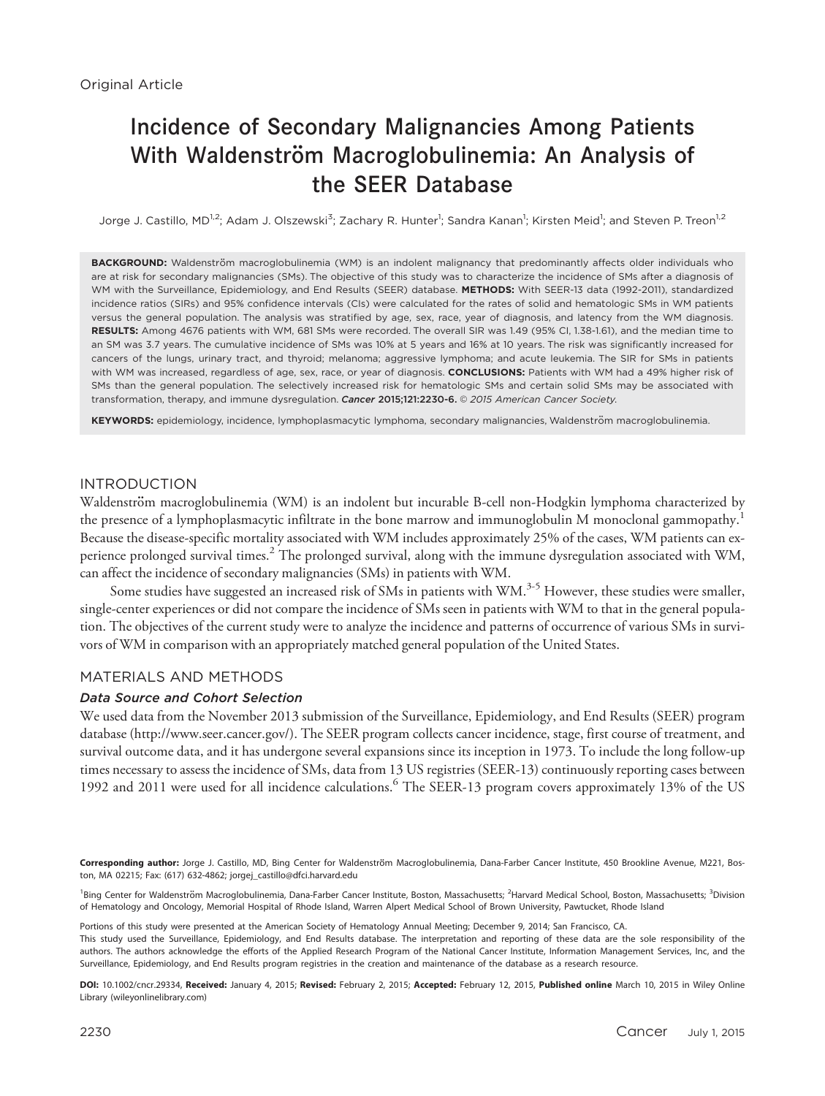# Incidence of Secondary Malignancies Among Patients With Waldenström Macroglobulinemia: An Analysis of the SEER Database

Jorge J. Castillo, MD<sup>1,2</sup>; Adam J. Olszewski<sup>3</sup>; Zachary R. Hunter<sup>1</sup>; Sandra Kanan<sup>1</sup>; Kirsten Meid<sup>1</sup>; and Steven P. Treon<sup>1,2</sup>

BACKGROUND: Waldenström macroglobulinemia (WM) is an indolent malignancy that predominantly affects older individuals who are at risk for secondary malignancies (SMs). The objective of this study was to characterize the incidence of SMs after a diagnosis of WM with the Surveillance, Epidemiology, and End Results (SEER) database. METHODS: With SEER-13 data (1992-2011), standardized incidence ratios (SIRs) and 95% confidence intervals (CIs) were calculated for the rates of solid and hematologic SMs in WM patients versus the general population. The analysis was stratified by age, sex, race, year of diagnosis, and latency from the WM diagnosis. RESULTS: Among 4676 patients with WM, 681 SMs were recorded. The overall SIR was 1.49 (95% CI, 1.38-1.61), and the median time to an SM was 3.7 years. The cumulative incidence of SMs was 10% at 5 years and 16% at 10 years. The risk was significantly increased for cancers of the lungs, urinary tract, and thyroid; melanoma; aggressive lymphoma; and acute leukemia. The SIR for SMs in patients with WM was increased, regardless of age, sex, race, or year of diagnosis. CONCLUSIONS: Patients with WM had a 49% higher risk of SMs than the general population. The selectively increased risk for hematologic SMs and certain solid SMs may be associated with transformation, therapy, and immune dysregulation. Cancer 2015;121:2230-6. 0 2015 American Cancer Society.

KEYWORDS: epidemiology, incidence, lymphoplasmacytic lymphoma, secondary malignancies, Waldenström macroglobulinemia.

# INTRODUCTION

Waldenström macroglobulinemia (WM) is an indolent but incurable B-cell non-Hodgkin lymphoma characterized by the presence of a lymphoplasmacytic infiltrate in the bone marrow and immunoglobulin M monoclonal gammopathy.<sup>1</sup> Because the disease-specific mortality associated with WM includes approximately 25% of the cases, WM patients can experience prolonged survival times.<sup>2</sup> The prolonged survival, along with the immune dysregulation associated with WM, can affect the incidence of secondary malignancies (SMs) in patients with WM.

Some studies have suggested an increased risk of SMs in patients with WM.<sup>3-5</sup> However, these studies were smaller, single-center experiences or did not compare the incidence of SMs seen in patients with WM to that in the general population. The objectives of the current study were to analyze the incidence and patterns of occurrence of various SMs in survivors of WM in comparison with an appropriately matched general population of the United States.

## MATERIALS AND METHODS

## Data Source and Cohort Selection

We used data from the November 2013 submission of the Surveillance, Epidemiology, and End Results (SEER) program database [\(http://www.seer.cancer.gov/\)](http://www.seer.cancer.gov/). The SEER program collects cancer incidence, stage, first course of treatment, and survival outcome data, and it has undergone several expansions since its inception in 1973. To include the long follow-up times necessary to assess the incidence of SMs, data from 13 US registries (SEER-13) continuously reporting cases between 1992 and 2011 were used for all incidence calculations.<sup>6</sup> The SEER-13 program covers approximately 13% of the US

Corresponding author: Jorge J. Castillo, MD, Bing Center for Waldenström Macroglobulinemia, Dana-Farber Cancer Institute, 450 Brookline Avenue, M221, Boston, MA 02215; Fax: (617) 632-4862; jorgej\_castillo@dfci.harvard.edu

<sup>1</sup>Bing Center for Waldenström Macroglobulinemia, Dana-Farber Cancer Institute, Boston, Massachusetts; <sup>2</sup>Harvard Medical School, Boston, Massachusetts; <sup>3</sup>Division of Hematology and Oncology, Memorial Hospital of Rhode Island, Warren Alpert Medical School of Brown University, Pawtucket, Rhode Island

Portions of this study were presented at the American Society of Hematology Annual Meeting; December 9, 2014; San Francisco, CA.

This study used the Surveillance, Epidemiology, and End Results database. The interpretation and reporting of these data are the sole responsibility of the authors. The authors acknowledge the efforts of the Applied Research Program of the National Cancer Institute, Information Management Services, Inc, and the Surveillance, Epidemiology, and End Results program registries in the creation and maintenance of the database as a research resource.

DOI: 10.1002/cncr.29334, Received: January 4, 2015; Revised: February 2, 2015; Accepted: February 12, 2015, Published online March 10, 2015 in Wiley Online Library (wileyonlinelibrary.com)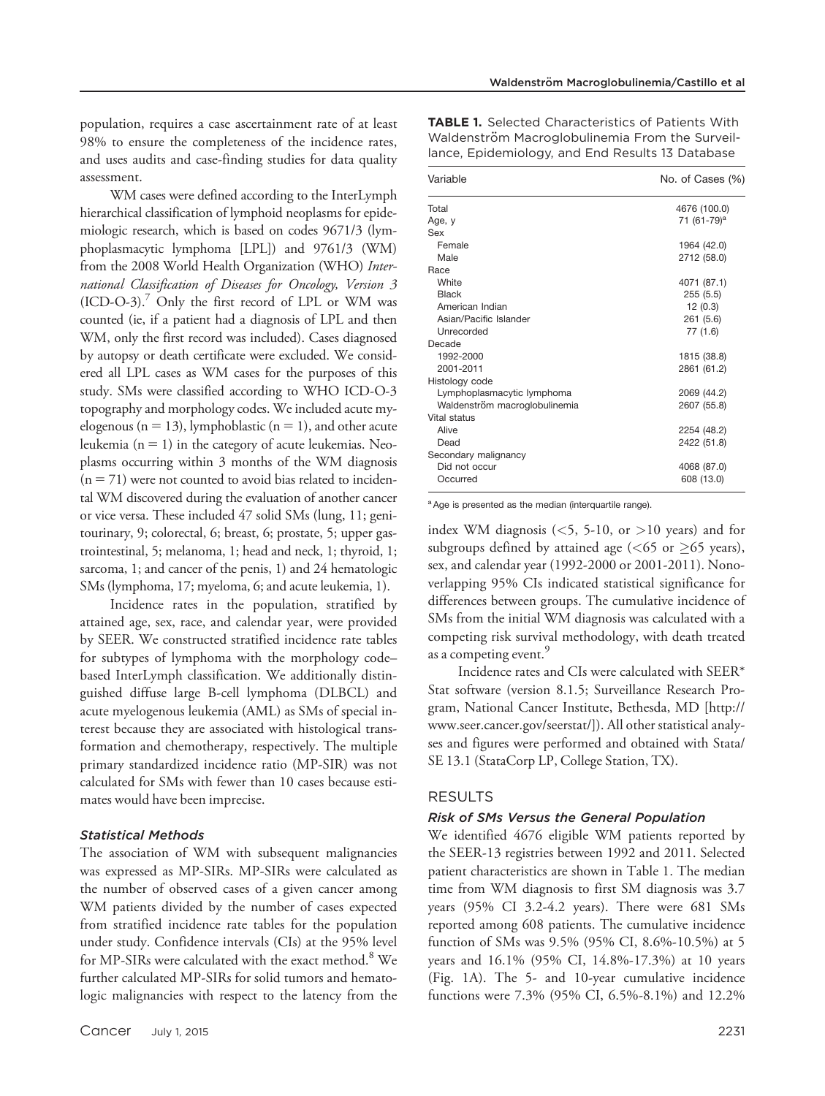population, requires a case ascertainment rate of at least 98% to ensure the completeness of the incidence rates, and uses audits and case-finding studies for data quality assessment.

WM cases were defined according to the InterLymph hierarchical classification of lymphoid neoplasms for epidemiologic research, which is based on codes 9671/3 (lymphoplasmacytic lymphoma [LPL]) and 9761/3 (WM) from the 2008 World Health Organization (WHO) International Classification of Diseases for Oncology, Version 3  $(ICD-O-3).$ <sup>7</sup> Only the first record of LPL or WM was counted (ie, if a patient had a diagnosis of LPL and then WM, only the first record was included). Cases diagnosed by autopsy or death certificate were excluded. We considered all LPL cases as WM cases for the purposes of this study. SMs were classified according to WHO ICD-O-3 topography and morphology codes. We included acute myelogenous ( $n = 13$ ), lymphoblastic ( $n = 1$ ), and other acute leukemia ( $n = 1$ ) in the category of acute leukemias. Neoplasms occurring within 3 months of the WM diagnosis  $(n = 71)$  were not counted to avoid bias related to incidental WM discovered during the evaluation of another cancer or vice versa. These included 47 solid SMs (lung, 11; genitourinary, 9; colorectal, 6; breast, 6; prostate, 5; upper gastrointestinal, 5; melanoma, 1; head and neck, 1; thyroid, 1; sarcoma, 1; and cancer of the penis, 1) and 24 hematologic SMs (lymphoma, 17; myeloma, 6; and acute leukemia, 1).

Incidence rates in the population, stratified by attained age, sex, race, and calendar year, were provided by SEER. We constructed stratified incidence rate tables for subtypes of lymphoma with the morphology code– based InterLymph classification. We additionally distinguished diffuse large B-cell lymphoma (DLBCL) and acute myelogenous leukemia (AML) as SMs of special interest because they are associated with histological transformation and chemotherapy, respectively. The multiple primary standardized incidence ratio (MP-SIR) was not calculated for SMs with fewer than 10 cases because estimates would have been imprecise.

#### Statistical Methods

The association of WM with subsequent malignancies was expressed as MP-SIRs. MP-SIRs were calculated as the number of observed cases of a given cancer among WM patients divided by the number of cases expected from stratified incidence rate tables for the population under study. Confidence intervals (CIs) at the 95% level for MP-SIRs were calculated with the exact method.<sup>8</sup> We further calculated MP-SIRs for solid tumors and hematologic malignancies with respect to the latency from the

| Variable                      | No. of Cases (%)        |  |  |  |  |  |
|-------------------------------|-------------------------|--|--|--|--|--|
|                               |                         |  |  |  |  |  |
| Total                         | 4676 (100.0)            |  |  |  |  |  |
| Age, y                        | 71 (61-79) <sup>a</sup> |  |  |  |  |  |
| Sex                           |                         |  |  |  |  |  |
| Female                        | 1964 (42.0)             |  |  |  |  |  |
| Male                          | 2712 (58.0)             |  |  |  |  |  |
| Race                          |                         |  |  |  |  |  |
| White                         | 4071 (87.1)             |  |  |  |  |  |
| Black                         | 255(5.5)                |  |  |  |  |  |
| American Indian               | 12(0.3)                 |  |  |  |  |  |
| Asian/Pacific Islander        | 261(5.6)                |  |  |  |  |  |
| Unrecorded                    | 77 (1.6)                |  |  |  |  |  |
| Decade                        |                         |  |  |  |  |  |
| 1992-2000                     | 1815 (38.8)             |  |  |  |  |  |
| 2001-2011                     | 2861 (61.2)             |  |  |  |  |  |
| Histology code                |                         |  |  |  |  |  |
| Lymphoplasmacytic lymphoma    | 2069 (44.2)             |  |  |  |  |  |
| Waldenström macroglobulinemia | 2607 (55.8)             |  |  |  |  |  |
| Vital status                  |                         |  |  |  |  |  |
| Alive                         | 2254 (48.2)             |  |  |  |  |  |
| Dead                          | 2422 (51.8)             |  |  |  |  |  |
| Secondary malignancy          |                         |  |  |  |  |  |
| Did not occur                 | 4068 (87.0)             |  |  |  |  |  |
| Occurred                      | 608 (13.0)              |  |  |  |  |  |

TABLE 1. Selected Characteristics of Patients With Waldenström Macroglobulinemia From the Surveillance, Epidemiology, and End Results 13 Database

<sup>a</sup> Age is presented as the median (interquartile range).

index WM diagnosis  $(<5, 5-10, or >10$  years) and for subgroups defined by attained age (<65 or  $\geq$ 65 years), sex, and calendar year (1992-2000 or 2001-2011). Nonoverlapping 95% CIs indicated statistical significance for differences between groups. The cumulative incidence of SMs from the initial WM diagnosis was calculated with a competing risk survival methodology, with death treated as a competing event.<sup>9</sup>

Incidence rates and CIs were calculated with SEER\* Stat software (version 8.1.5; Surveillance Research Program, National Cancer Institute, Bethesda, MD [\[http://](http://www.seer.cancer.gov/seerstat/) [www.seer.cancer.gov/seerstat/](http://www.seer.cancer.gov/seerstat/)]). All other statistical analyses and figures were performed and obtained with Stata/ SE 13.1 (StataCorp LP, College Station, TX).

## RESULTS

#### Risk of SMs Versus the General Population

We identified 4676 eligible WM patients reported by the SEER-13 registries between 1992 and 2011. Selected patient characteristics are shown in Table 1. The median time from WM diagnosis to first SM diagnosis was 3.7 years (95% CI 3.2-4.2 years). There were 681 SMs reported among 608 patients. The cumulative incidence function of SMs was 9.5% (95% CI, 8.6%-10.5%) at 5 years and 16.1% (95% CI, 14.8%-17.3%) at 10 years (Fig. 1A). The 5- and 10-year cumulative incidence functions were 7.3% (95% CI, 6.5%-8.1%) and 12.2%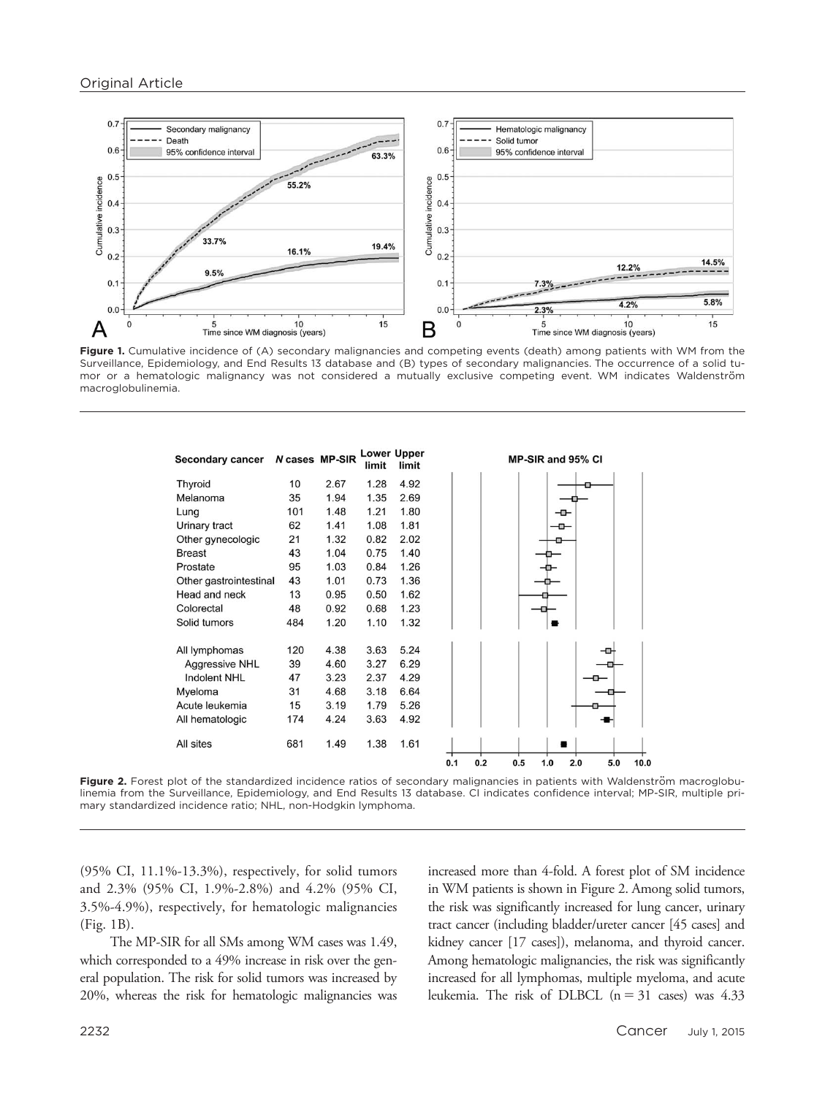

Figure 1. Cumulative incidence of (A) secondary malignancies and competing events (death) among patients with WM from the Surveillance, Epidemiology, and End Results 13 database and (B) types of secondary malignancies. The occurrence of a solid tumor or a hematologic malignancy was not considered a mutually exclusive competing event. WM indicates Waldenström macroglobulinemia.

| <b>Secondary cancer</b> | N cases MP-SIR |      | limit | <b>Lower Upper</b><br>limit |     |     |     | MP-SIR and 95% CI |     |     |      |
|-------------------------|----------------|------|-------|-----------------------------|-----|-----|-----|-------------------|-----|-----|------|
| Thyroid                 | 10             | 2.67 | 1.28  | 4.92                        |     |     |     |                   |     |     |      |
| Melanoma                | 35             | 1.94 | 1.35  | 2.69                        |     |     |     |                   |     |     |      |
| Lung                    | 101            | 1.48 | 1.21  | 1.80                        |     |     |     |                   | ᅩ   |     |      |
| Urinary tract           | 62             | 1.41 | 1.08  | 1.81                        |     |     |     |                   | o   |     |      |
| Other gynecologic       | 21             | 1.32 | 0.82  | 2.02                        |     |     |     |                   |     |     |      |
| <b>Breast</b>           | 43             | 1.04 | 0.75  | 1.40                        |     |     |     |                   |     |     |      |
| Prostate                | 95             | 1.03 | 0.84  | 1.26                        |     |     |     |                   |     |     |      |
| Other gastrointestinal  | 43             | 1.01 | 0.73  | 1.36                        |     |     |     |                   |     |     |      |
| Head and neck           | 13             | 0.95 | 0.50  | 1.62                        |     |     |     |                   |     |     |      |
| Colorectal              | 48             | 0.92 | 0.68  | 1.23                        |     |     |     |                   |     |     |      |
| Solid tumors            | 484            | 1.20 | 1.10  | 1.32                        |     |     |     |                   |     |     |      |
| All lymphomas           | 120            | 4.38 | 3.63  | 5.24                        |     |     |     |                   |     |     |      |
| <b>Aggressive NHL</b>   | 39             | 4.60 | 3.27  | 6.29                        |     |     |     |                   |     |     |      |
| <b>Indolent NHL</b>     | 47             | 3.23 | 2.37  | 4.29                        |     |     |     |                   |     |     |      |
| Myeloma                 | 31             | 4.68 | 3.18  | 6.64                        |     |     |     |                   |     |     |      |
| Acute leukemia          | 15             | 3.19 | 1.79  | 5.26                        |     |     |     |                   |     |     |      |
| All hematologic         | 174            | 4.24 | 3.63  | 4.92                        |     |     |     |                   |     |     |      |
| All sites               | 681            | 1.49 | 1.38  | 1.61                        |     |     |     |                   |     |     |      |
|                         |                |      |       |                             | 0.1 | 0.2 | 0.5 | 1.0               | 2.0 | 5.0 | 10.0 |

Figure 2. Forest plot of the standardized incidence ratios of secondary malignancies in patients with Waldenström macroglobulinemia from the Surveillance, Epidemiology, and End Results 13 database. CI indicates confidence interval; MP-SIR, multiple primary standardized incidence ratio; NHL, non-Hodgkin lymphoma.

(95% CI, 11.1%-13.3%), respectively, for solid tumors and 2.3% (95% CI, 1.9%-2.8%) and 4.2% (95% CI, 3.5%-4.9%), respectively, for hematologic malignancies (Fig. 1B).

The MP-SIR for all SMs among WM cases was 1.49, which corresponded to a 49% increase in risk over the general population. The risk for solid tumors was increased by 20%, whereas the risk for hematologic malignancies was

increased more than 4-fold. A forest plot of SM incidence in WM patients is shown in Figure 2. Among solid tumors, the risk was significantly increased for lung cancer, urinary tract cancer (including bladder/ureter cancer [45 cases] and kidney cancer [17 cases]), melanoma, and thyroid cancer. Among hematologic malignancies, the risk was significantly increased for all lymphomas, multiple myeloma, and acute leukemia. The risk of DLBCL  $(n = 31 \text{ cases})$  was 4.33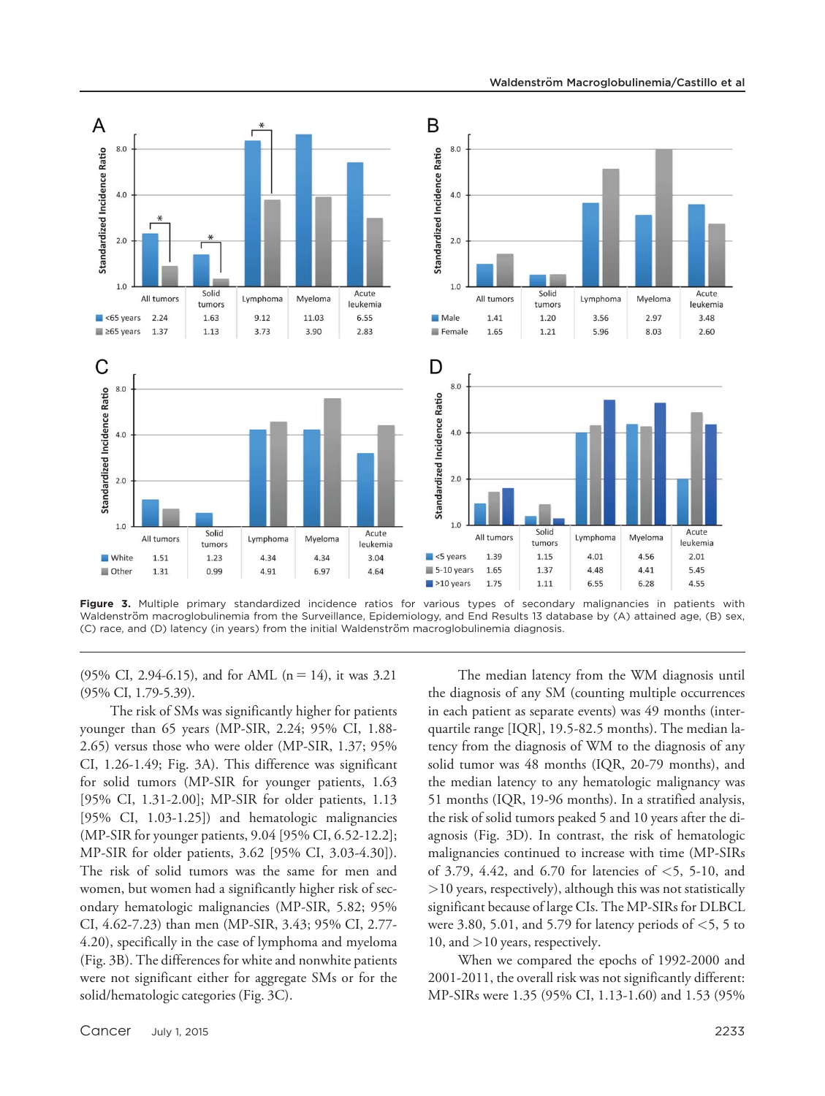

Figure 3. Multiple primary standardized incidence ratios for various types of secondary malignancies in patients with Waldenström macroglobulinemia from the Surveillance, Epidemiology, and End Results 13 database by (A) attained age, (B) sex, (C) race, and (D) latency (in years) from the initial Waldenström macroglobulinemia diagnosis.

(95% CI, 2.94-6.15), and for AML ( $n = 14$ ), it was 3.21 (95% CI, 1.79-5.39).

The risk of SMs was significantly higher for patients younger than 65 years (MP-SIR, 2.24; 95% CI, 1.88- 2.65) versus those who were older (MP-SIR, 1.37; 95% CI, 1.26-1.49; Fig. 3A). This difference was significant for solid tumors (MP-SIR for younger patients, 1.63 [95% CI, 1.31-2.00]; MP-SIR for older patients, 1.13 [95% CI, 1.03-1.25]) and hematologic malignancies (MP-SIR for younger patients, 9.04 [95% CI, 6.52-12.2]; MP-SIR for older patients, 3.62 [95% CI, 3.03-4.30]). The risk of solid tumors was the same for men and women, but women had a significantly higher risk of secondary hematologic malignancies (MP-SIR, 5.82; 95% CI, 4.62-7.23) than men (MP-SIR, 3.43; 95% CI, 2.77- 4.20), specifically in the case of lymphoma and myeloma (Fig. 3B). The differences for white and nonwhite patients were not significant either for aggregate SMs or for the solid/hematologic categories (Fig. 3C).

The median latency from the WM diagnosis until the diagnosis of any SM (counting multiple occurrences in each patient as separate events) was 49 months (interquartile range [IQR], 19.5-82.5 months). The median latency from the diagnosis of WM to the diagnosis of any solid tumor was 48 months (IQR, 20-79 months), and the median latency to any hematologic malignancy was 51 months (IQR, 19-96 months). In a stratified analysis, the risk of solid tumors peaked 5 and 10 years after the diagnosis (Fig. 3D). In contrast, the risk of hematologic malignancies continued to increase with time (MP-SIRs of 3.79, 4.42, and 6.70 for latencies of  $<$  5, 5-10, and >10 years, respectively), although this was not statistically significant because of large CIs. The MP-SIRs for DLBCL were 3.80, 5.01, and 5.79 for latency periods of  $\lt$ 5, 5 to 10, and >10 years, respectively.

When we compared the epochs of 1992-2000 and 2001-2011, the overall risk was not significantly different: MP-SIRs were 1.35 (95% CI, 1.13-1.60) and 1.53 (95%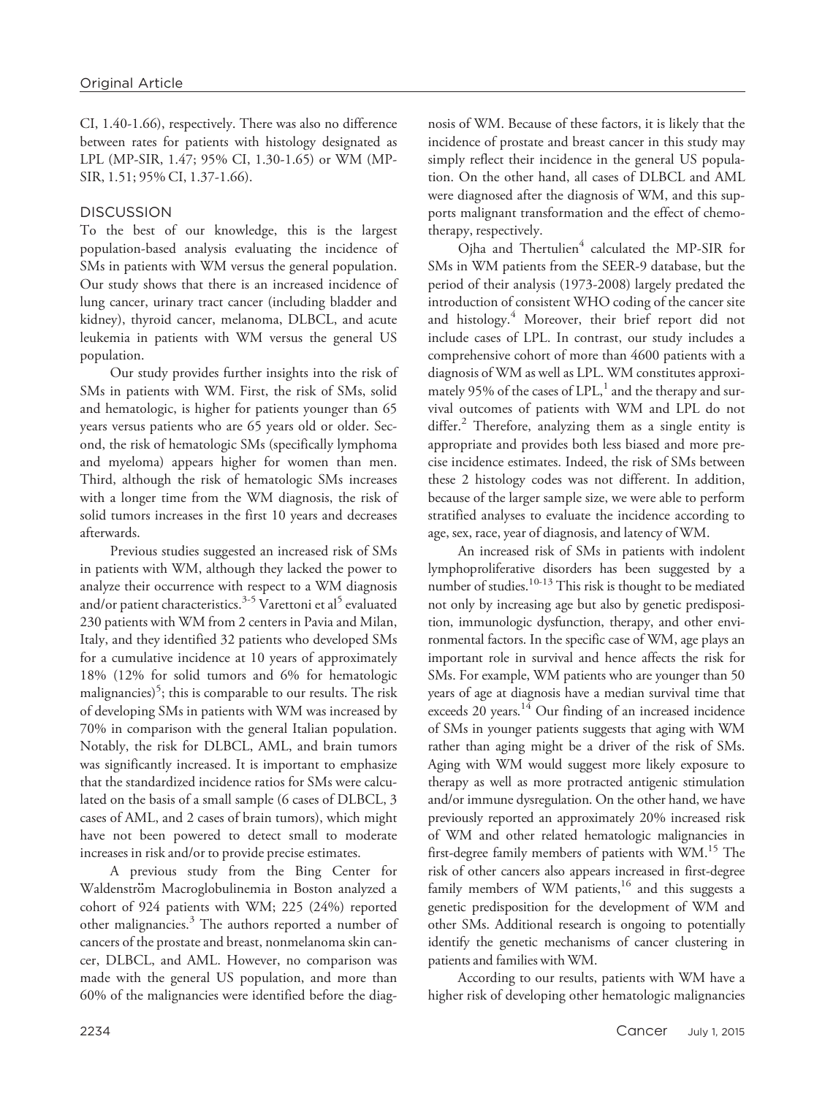CI, 1.40-1.66), respectively. There was also no difference between rates for patients with histology designated as LPL (MP-SIR, 1.47; 95% CI, 1.30-1.65) or WM (MP-SIR, 1.51; 95% CI, 1.37-1.66).

# **DISCUSSION**

To the best of our knowledge, this is the largest population-based analysis evaluating the incidence of SMs in patients with WM versus the general population. Our study shows that there is an increased incidence of lung cancer, urinary tract cancer (including bladder and kidney), thyroid cancer, melanoma, DLBCL, and acute leukemia in patients with WM versus the general US population.

Our study provides further insights into the risk of SMs in patients with WM. First, the risk of SMs, solid and hematologic, is higher for patients younger than 65 years versus patients who are 65 years old or older. Second, the risk of hematologic SMs (specifically lymphoma and myeloma) appears higher for women than men. Third, although the risk of hematologic SMs increases with a longer time from the WM diagnosis, the risk of solid tumors increases in the first 10 years and decreases afterwards.

Previous studies suggested an increased risk of SMs in patients with WM, although they lacked the power to analyze their occurrence with respect to a WM diagnosis and/or patient characteristics.<sup>3-5</sup> Varettoni et al<sup>5</sup> evaluated 230 patients with WM from 2 centers in Pavia and Milan, Italy, and they identified 32 patients who developed SMs for a cumulative incidence at 10 years of approximately 18% (12% for solid tumors and 6% for hematologic malignancies)<sup>5</sup>; this is comparable to our results. The risk of developing SMs in patients with WM was increased by 70% in comparison with the general Italian population. Notably, the risk for DLBCL, AML, and brain tumors was significantly increased. It is important to emphasize that the standardized incidence ratios for SMs were calculated on the basis of a small sample (6 cases of DLBCL, 3 cases of AML, and 2 cases of brain tumors), which might have not been powered to detect small to moderate increases in risk and/or to provide precise estimates.

A previous study from the Bing Center for Waldenström Macroglobulinemia in Boston analyzed a cohort of 924 patients with WM; 225 (24%) reported other malignancies. $3$  The authors reported a number of cancers of the prostate and breast, nonmelanoma skin cancer, DLBCL, and AML. However, no comparison was made with the general US population, and more than 60% of the malignancies were identified before the diagnosis of WM. Because of these factors, it is likely that the incidence of prostate and breast cancer in this study may simply reflect their incidence in the general US population. On the other hand, all cases of DLBCL and AML were diagnosed after the diagnosis of WM, and this supports malignant transformation and the effect of chemotherapy, respectively.

Ojha and Thertulien $4$  calculated the MP-SIR for SMs in WM patients from the SEER-9 database, but the period of their analysis (1973-2008) largely predated the introduction of consistent WHO coding of the cancer site and histology.<sup>4</sup> Moreover, their brief report did not include cases of LPL. In contrast, our study includes a comprehensive cohort of more than 4600 patients with a diagnosis of WM as well as LPL. WM constitutes approximately 95% of the cases of  $LPL$ ,<sup>1</sup> and the therapy and survival outcomes of patients with WM and LPL do not differ. $2$  Therefore, analyzing them as a single entity is appropriate and provides both less biased and more precise incidence estimates. Indeed, the risk of SMs between these 2 histology codes was not different. In addition, because of the larger sample size, we were able to perform stratified analyses to evaluate the incidence according to age, sex, race, year of diagnosis, and latency of WM.

An increased risk of SMs in patients with indolent lymphoproliferative disorders has been suggested by a number of studies.<sup>10-13</sup> This risk is thought to be mediated not only by increasing age but also by genetic predisposition, immunologic dysfunction, therapy, and other environmental factors. In the specific case of WM, age plays an important role in survival and hence affects the risk for SMs. For example, WM patients who are younger than 50 years of age at diagnosis have a median survival time that exceeds 20 years. $14$  Our finding of an increased incidence of SMs in younger patients suggests that aging with WM rather than aging might be a driver of the risk of SMs. Aging with WM would suggest more likely exposure to therapy as well as more protracted antigenic stimulation and/or immune dysregulation. On the other hand, we have previously reported an approximately 20% increased risk of WM and other related hematologic malignancies in first-degree family members of patients with WM.<sup>15</sup> The risk of other cancers also appears increased in first-degree family members of WM patients, $16$  and this suggests a genetic predisposition for the development of WM and other SMs. Additional research is ongoing to potentially identify the genetic mechanisms of cancer clustering in patients and families with WM.

According to our results, patients with WM have a higher risk of developing other hematologic malignancies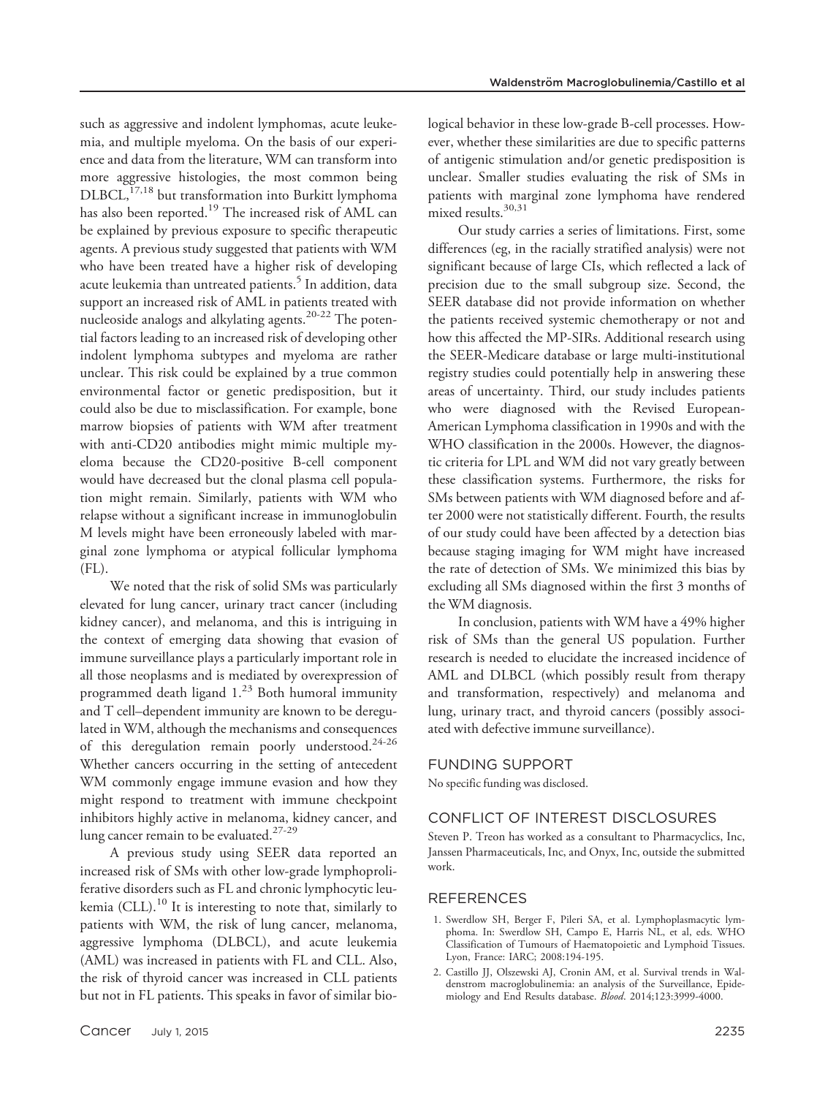such as aggressive and indolent lymphomas, acute leukemia, and multiple myeloma. On the basis of our experience and data from the literature, WM can transform into more aggressive histologies, the most common being DLBCL,<sup>17,18</sup> but transformation into Burkitt lymphoma has also been reported.<sup>19</sup> The increased risk of AML can be explained by previous exposure to specific therapeutic agents. A previous study suggested that patients with WM who have been treated have a higher risk of developing acute leukemia than untreated patients.<sup>5</sup> In addition, data support an increased risk of AML in patients treated with nucleoside analogs and alkylating agents.20-22 The potential factors leading to an increased risk of developing other indolent lymphoma subtypes and myeloma are rather unclear. This risk could be explained by a true common environmental factor or genetic predisposition, but it could also be due to misclassification. For example, bone marrow biopsies of patients with WM after treatment with anti-CD20 antibodies might mimic multiple myeloma because the CD20-positive B-cell component would have decreased but the clonal plasma cell population might remain. Similarly, patients with WM who relapse without a significant increase in immunoglobulin M levels might have been erroneously labeled with marginal zone lymphoma or atypical follicular lymphoma (FL).

We noted that the risk of solid SMs was particularly elevated for lung cancer, urinary tract cancer (including kidney cancer), and melanoma, and this is intriguing in the context of emerging data showing that evasion of immune surveillance plays a particularly important role in all those neoplasms and is mediated by overexpression of programmed death ligand  $1.^{23}$  Both humoral immunity and T cell–dependent immunity are known to be deregulated in WM, although the mechanisms and consequences of this deregulation remain poorly understood.<sup>24-26</sup> Whether cancers occurring in the setting of antecedent WM commonly engage immune evasion and how they might respond to treatment with immune checkpoint inhibitors highly active in melanoma, kidney cancer, and lung cancer remain to be evaluated.<sup>27-29</sup>

A previous study using SEER data reported an increased risk of SMs with other low-grade lymphoproliferative disorders such as FL and chronic lymphocytic leukemia  $(CLL)$ .<sup>10</sup> It is interesting to note that, similarly to patients with WM, the risk of lung cancer, melanoma, aggressive lymphoma (DLBCL), and acute leukemia (AML) was increased in patients with FL and CLL. Also, the risk of thyroid cancer was increased in CLL patients but not in FL patients. This speaks in favor of similar biological behavior in these low-grade B-cell processes. However, whether these similarities are due to specific patterns of antigenic stimulation and/or genetic predisposition is unclear. Smaller studies evaluating the risk of SMs in patients with marginal zone lymphoma have rendered mixed results.30,31

Our study carries a series of limitations. First, some differences (eg, in the racially stratified analysis) were not significant because of large CIs, which reflected a lack of precision due to the small subgroup size. Second, the SEER database did not provide information on whether the patients received systemic chemotherapy or not and how this affected the MP-SIRs. Additional research using the SEER-Medicare database or large multi-institutional registry studies could potentially help in answering these areas of uncertainty. Third, our study includes patients who were diagnosed with the Revised European-American Lymphoma classification in 1990s and with the WHO classification in the 2000s. However, the diagnostic criteria for LPL and WM did not vary greatly between these classification systems. Furthermore, the risks for SMs between patients with WM diagnosed before and after 2000 were not statistically different. Fourth, the results of our study could have been affected by a detection bias because staging imaging for WM might have increased the rate of detection of SMs. We minimized this bias by excluding all SMs diagnosed within the first 3 months of the WM diagnosis.

In conclusion, patients with WM have a 49% higher risk of SMs than the general US population. Further research is needed to elucidate the increased incidence of AML and DLBCL (which possibly result from therapy and transformation, respectively) and melanoma and lung, urinary tract, and thyroid cancers (possibly associated with defective immune surveillance).

## FUNDING SUPPORT

No specific funding was disclosed.

## CONFLICT OF INTEREST DISCLOSURES

Steven P. Treon has worked as a consultant to Pharmacyclics, Inc, Janssen Pharmaceuticals, Inc, and Onyx, Inc, outside the submitted work.

## REFERENCES

- 1. Swerdlow SH, Berger F, Pileri SA, et al. Lymphoplasmacytic lymphoma. In: Swerdlow SH, Campo E, Harris NL, et al, eds. WHO Classification of Tumours of Haematopoietic and Lymphoid Tissues. Lyon, France: IARC; 2008:194-195.
- 2. Castillo JJ, Olszewski AJ, Cronin AM, et al. Survival trends in Waldenstrom macroglobulinemia: an analysis of the Surveillance, Epidemiology and End Results database. Blood. 2014;123:3999-4000.